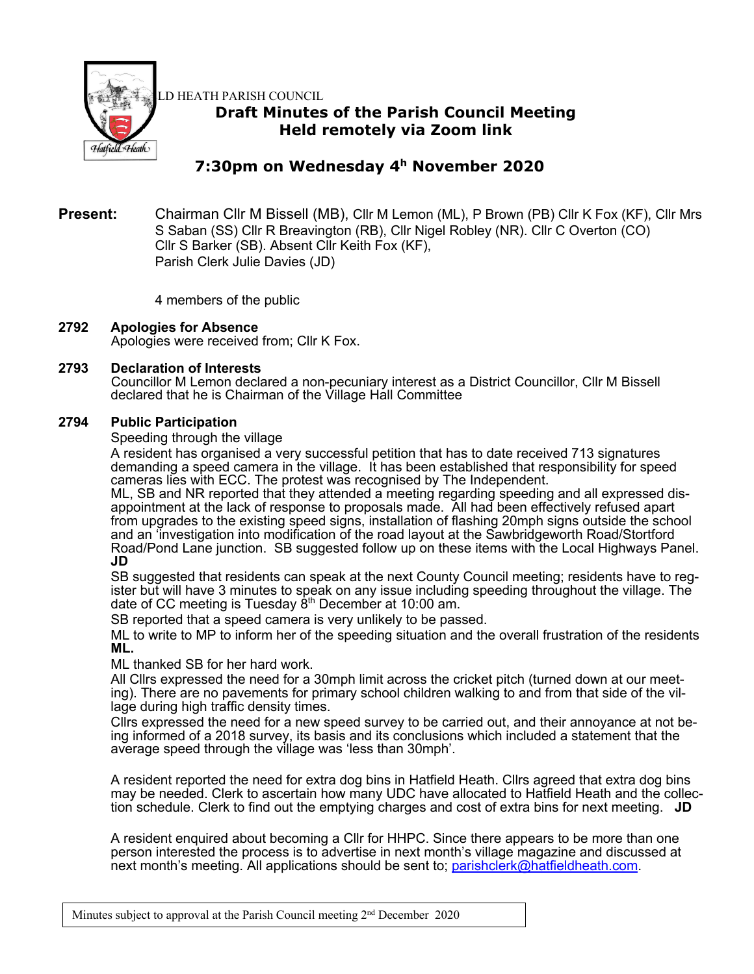

LD HEATH PARISH COUNCIL

# **Draft Minutes of the Parish Council Meeting Held remotely via Zoom link**

# **7:30pm on Wednesday 4h November 2020**

## **Present:** Chairman Cllr M Bissell (MB), Cllr M Lemon (ML), P Brown (PB) Cllr K Fox (KF), Cllr Mrs S Saban (SS) Cllr R Breavington (RB), Cllr Nigel Robley (NR). Cllr C Overton (CO) Cllr S Barker (SB). Absent Cllr Keith Fox (KF), Parish Clerk Julie Davies (JD)

4 members of the public

## **2792 Apologies for Absence**

Apologies were received from; Cllr K Fox.

## **2793 Declaration of Interests**

Councillor M Lemon declared a non-pecuniary interest as a District Councillor, Cllr M Bissell declared that he is Chairman of the Village Hall Committee

## **2794 Public Participation**

Speeding through the village

A resident has organised a very successful petition that has to date received 713 signatures demanding a speed camera in the village. It has been established that responsibility for speed cameras lies with ECC. The protest was recognised by The Independent.

ML, SB and NR reported that they attended a meeting regarding speeding and all expressed disappointment at the lack of response to proposals made. All had been effectively refused apart from upgrades to the existing speed signs, installation of flashing 20mph signs outside the school and an 'investigation into modification of the road layout at the Sawbridgeworth Road/Stortford Road/Pond Lane junction. SB suggested follow up on these items with the Local Highways Panel. **JD**

SB suggested that residents can speak at the next County Council meeting; residents have to register but will have 3 minutes to speak on any issue including speeding throughout the village. The date of CC meeting is Tuesday 8th December at 10:00 am.

SB reported that a speed camera is very unlikely to be passed.

ML to write to MP to inform her of the speeding situation and the overall frustration of the residents **ML.**

ML thanked SB for her hard work.

All Cllrs expressed the need for a 30mph limit across the cricket pitch (turned down at our meeting). There are no pavements for primary school children walking to and from that side of the village during high traffic density times.

Cllrs expressed the need for a new speed survey to be carried out, and their annoyance at not being informed of a 2018 survey, its basis and its conclusions which included a statement that the average speed through the village was 'less than 30mph'.

A resident reported the need for extra dog bins in Hatfield Heath. Cllrs agreed that extra dog bins may be needed. Clerk to ascertain how many UDC have allocated to Hatfield Heath and the collection schedule. Clerk to find out the emptying charges and cost of extra bins for next meeting. **JD**

A resident enquired about becoming a Cllr for HHPC. Since there appears to be more than one person interested the process is to advertise in next month's village magazine and discussed at next month's meeting. All applications should be sent to; parishclerk@hatfieldheath.com.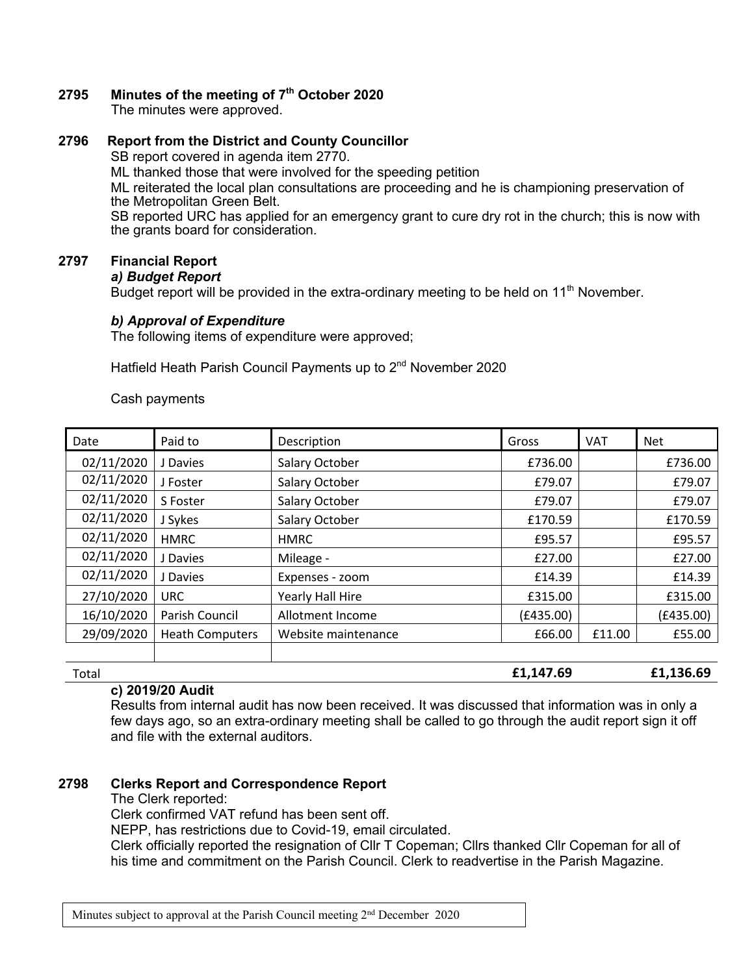## **2795 Minutes of the meeting of 7th October 2020**

The minutes were approved.

## **2796 Report from the District and County Councillor**

SB report covered in agenda item 2770.

ML thanked those that were involved for the speeding petition

ML reiterated the local plan consultations are proceeding and he is championing preservation of the Metropolitan Green Belt.

SB reported URC has applied for an emergency grant to cure dry rot in the church; this is now with the grants board for consideration.

## **2797 Financial Report**

```
a) Budget Report
```
Budget report will be provided in the extra-ordinary meeting to be held on  $11<sup>th</sup>$  November.

## *b) Approval of Expenditure*

The following items of expenditure were approved;

Hatfield Heath Parish Council Payments up to 2<sup>nd</sup> November 2020

Cash payments

| Date       | Paid to                | Description         | Gross     | <b>VAT</b> | <b>Net</b> |
|------------|------------------------|---------------------|-----------|------------|------------|
| 02/11/2020 | J Davies               | Salary October      | £736.00   |            | £736.00    |
| 02/11/2020 | J Foster               | Salary October      | £79.07    |            | £79.07     |
| 02/11/2020 | S Foster               | Salary October      | £79.07    |            | £79.07     |
| 02/11/2020 | J Sykes                | Salary October      | £170.59   |            | £170.59    |
| 02/11/2020 | <b>HMRC</b>            | <b>HMRC</b>         | £95.57    |            | £95.57     |
| 02/11/2020 | J Davies               | Mileage -           | £27.00    |            | £27.00     |
| 02/11/2020 | J Davies               | Expenses - zoom     | £14.39    |            | £14.39     |
| 27/10/2020 | <b>URC</b>             | Yearly Hall Hire    | £315.00   |            | £315.00    |
| 16/10/2020 | Parish Council         | Allotment Income    | (E435.00) |            | (E435.00)  |
| 29/09/2020 | <b>Heath Computers</b> | Website maintenance | £66.00    | £11.00     | £55.00     |
|            |                        |                     |           |            |            |

Total **£1,147.69 £1,136.69**

## **c) 2019/20 Audit**

Results from internal audit has now been received. It was discussed that information was in only a few days ago, so an extra-ordinary meeting shall be called to go through the audit report sign it off and file with the external auditors.

## **2798 Clerks Report and Correspondence Report**

The Clerk reported:

Clerk confirmed VAT refund has been sent off.

NEPP, has restrictions due to Covid-19, email circulated.

Clerk officially reported the resignation of Cllr T Copeman; Cllrs thanked Cllr Copeman for all of his time and commitment on the Parish Council. Clerk to readvertise in the Parish Magazine.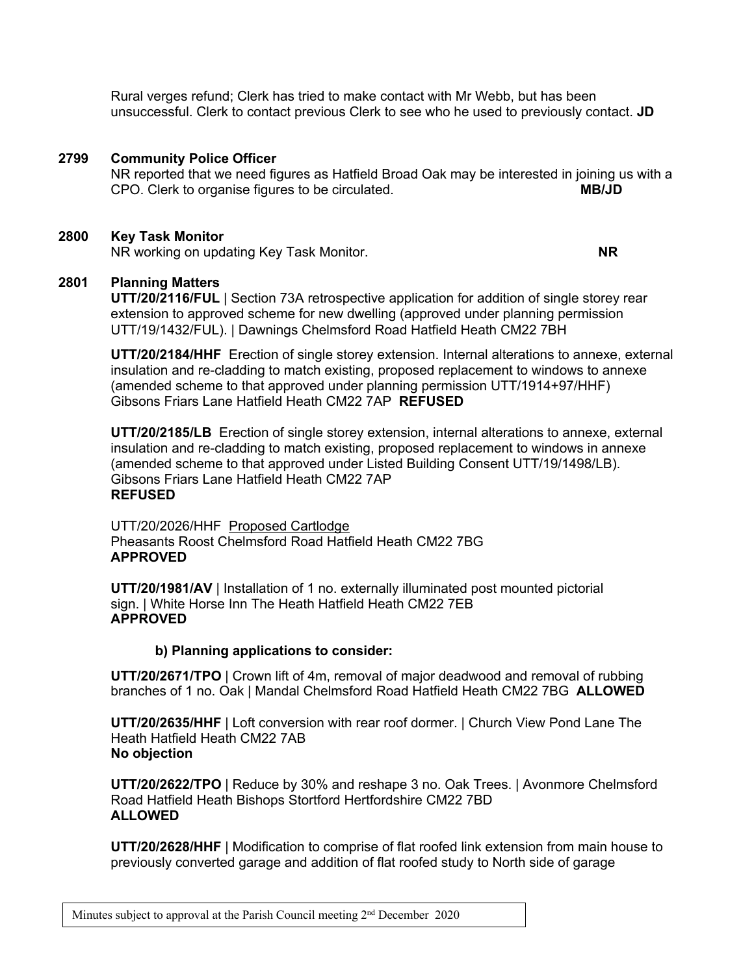Rural verges refund; Clerk has tried to make contact with Mr Webb, but has been unsuccessful. Clerk to contact previous Clerk to see who he used to previously contact. **JD**

## **2799 Community Police Officer**

NR reported that we need figures as Hatfield Broad Oak may be interested in joining us with a CPO. Clerk to organise figures to be circulated. **MB/JD**

#### **2800 Key Task Monitor**

NR working on updating Key Task Monitor. **NR**

## **2801 Planning Matters**

**UTT/20/2116/FUL** | Section 73A retrospective application for addition of single storey rear extension to approved scheme for new dwelling (approved under planning permission UTT/19/1432/FUL). | Dawnings Chelmsford Road Hatfield Heath CM22 7BH

**UTT/20/2184/HHF** Erection of single storey extension. Internal alterations to annexe, external insulation and re-cladding to match existing, proposed replacement to windows to annexe (amended scheme to that approved under planning permission UTT/1914+97/HHF) Gibsons Friars Lane Hatfield Heath CM22 7AP **REFUSED**

**UTT/20/2185/LB** Erection of single storey extension, internal alterations to annexe, external insulation and re-cladding to match existing, proposed replacement to windows in annexe (amended scheme to that approved under Listed Building Consent UTT/19/1498/LB). Gibsons Friars Lane Hatfield Heath CM22 7AP **REFUSED**

UTT/20/2026/HHF Proposed Cartlodge Pheasants Roost Chelmsford Road Hatfield Heath CM22 7BG **APPROVED**

**UTT/20/1981/AV** | Installation of 1 no. externally illuminated post mounted pictorial sign. | White Horse Inn The Heath Hatfield Heath CM22 7EB **APPROVED**

#### **b) Planning applications to consider:**

**UTT/20/2671/TPO** | Crown lift of 4m, removal of major deadwood and removal of rubbing branches of 1 no. Oak | Mandal Chelmsford Road Hatfield Heath CM22 7BG **ALLOWED**

**UTT/20/2635/HHF** | Loft conversion with rear roof dormer. | Church View Pond Lane The Heath Hatfield Heath CM22 7AB **No objection**

**UTT/20/2622/TPO** | Reduce by 30% and reshape 3 no. Oak Trees. | Avonmore Chelmsford Road Hatfield Heath Bishops Stortford Hertfordshire CM22 7BD **ALLOWED**

**UTT/20/2628/HHF** | Modification to comprise of flat roofed link extension from main house to previously converted garage and addition of flat roofed study to North side of garage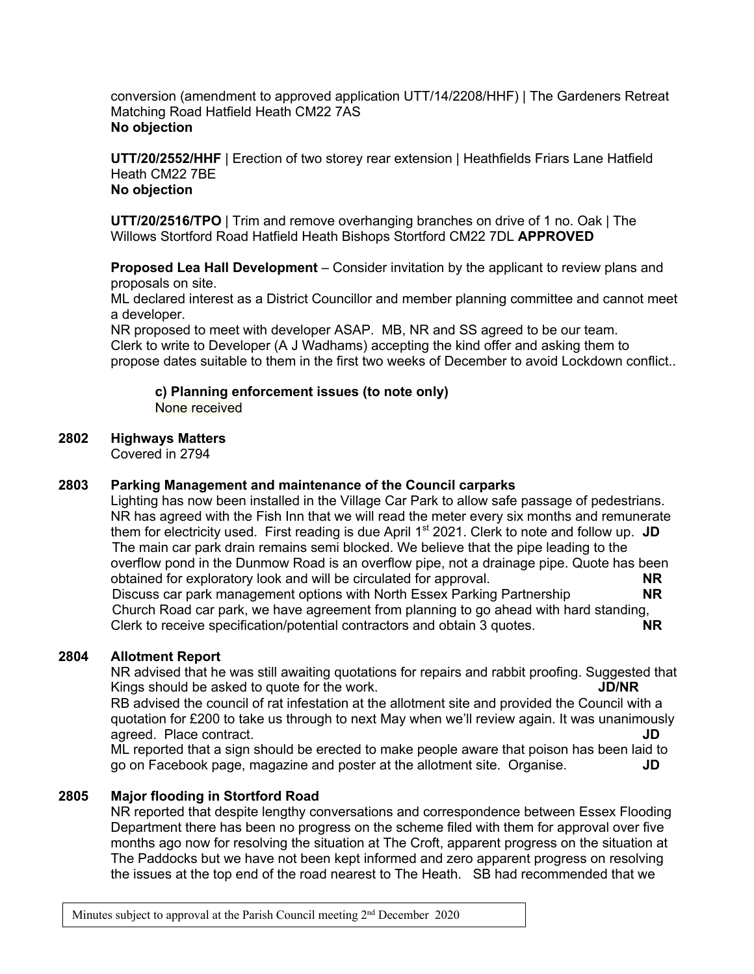conversion (amendment to approved application UTT/14/2208/HHF) | The Gardeners Retreat Matching Road Hatfield Heath CM22 7AS **No objection**

**UTT/20/2552/HHF** | Erection of two storey rear extension | Heathfields Friars Lane Hatfield Heath CM22 7BE **No objection**

**UTT/20/2516/TPO** | Trim and remove overhanging branches on drive of 1 no. Oak | The Willows Stortford Road Hatfield Heath Bishops Stortford CM22 7DL **APPROVED**

**Proposed Lea Hall Development** – Consider invitation by the applicant to review plans and proposals on site.

ML declared interest as a District Councillor and member planning committee and cannot meet a developer.

NR proposed to meet with developer ASAP. MB, NR and SS agreed to be our team. Clerk to write to Developer (A J Wadhams) accepting the kind offer and asking them to propose dates suitable to them in the first two weeks of December to avoid Lockdown conflict..

**c) Planning enforcement issues (to note only)** None received

#### **2802 Highways Matters**

Covered in 2794

## **2803 Parking Management and maintenance of the Council carparks**

Lighting has now been installed in the Village Car Park to allow safe passage of pedestrians. NR has agreed with the Fish Inn that we will read the meter every six months and remunerate them for electricity used. First reading is due April 1<sup>st</sup> 2021. Clerk to note and follow up. JD The main car park drain remains semi blocked. We believe that the pipe leading to the overflow pond in the Dunmow Road is an overflow pipe, not a drainage pipe. Quote has been obtained for exploratory look and will be circulated for approval. **NR** Discuss car park management options with North Essex Parking Partnership **NR** Church Road car park, we have agreement from planning to go ahead with hard standing, Clerk to receive specification/potential contractors and obtain 3 quotes. **NR**

#### **2804 Allotment Report**

NR advised that he was still awaiting quotations for repairs and rabbit proofing. Suggested that Kings should be asked to quote for the work. **JD/NR** RB advised the council of rat infestation at the allotment site and provided the Council with a quotation for £200 to take us through to next May when we'll review again. It was unanimously agreed. Place contract. **JD** ML reported that a sign should be erected to make people aware that poison has been laid to

go on Facebook page, magazine and poster at the allotment site. Organise. **JD**

## **2805 Major flooding in Stortford Road**

NR reported that despite lengthy conversations and correspondence between Essex Flooding Department there has been no progress on the scheme filed with them for approval over five months ago now for resolving the situation at The Croft, apparent progress on the situation at The Paddocks but we have not been kept informed and zero apparent progress on resolving the issues at the top end of the road nearest to The Heath. SB had recommended that we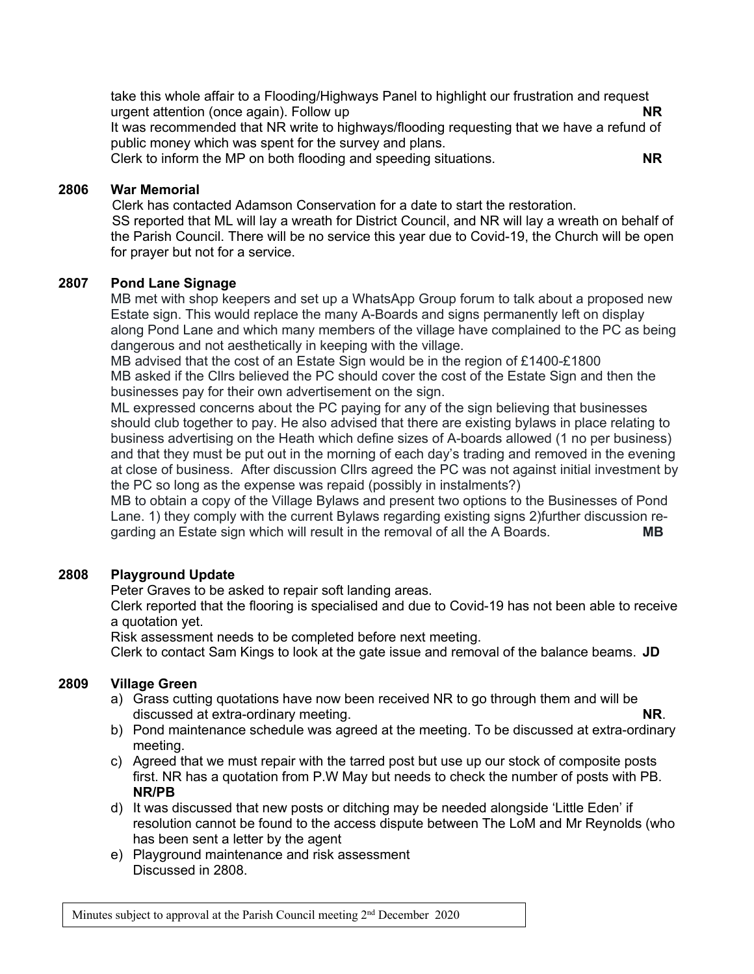take this whole affair to a Flooding/Highways Panel to highlight our frustration and request urgent attention (once again). Follow up **NR**

It was recommended that NR write to highways/flooding requesting that we have a refund of public money which was spent for the survey and plans.

Clerk to inform the MP on both flooding and speeding situations. **NR**

## **2806 War Memorial**

Clerk has contacted Adamson Conservation for a date to start the restoration. SS reported that ML will lay a wreath for District Council, and NR will lay a wreath on behalf of the Parish Council. There will be no service this year due to Covid-19, the Church will be open for prayer but not for a service.

## **2807 Pond Lane Signage**

MB met with shop keepers and set up a WhatsApp Group forum to talk about a proposed new Estate sign. This would replace the many A-Boards and signs permanently left on display along Pond Lane and which many members of the village have complained to the PC as being dangerous and not aesthetically in keeping with the village.

MB advised that the cost of an Estate Sign would be in the region of £1400-£1800 MB asked if the Cllrs believed the PC should cover the cost of the Estate Sign and then the businesses pay for their own advertisement on the sign.

ML expressed concerns about the PC paying for any of the sign believing that businesses should club together to pay. He also advised that there are existing bylaws in place relating to business advertising on the Heath which define sizes of A-boards allowed (1 no per business) and that they must be put out in the morning of each day's trading and removed in the evening at close of business. After discussion Cllrs agreed the PC was not against initial investment by the PC so long as the expense was repaid (possibly in instalments?)

MB to obtain a copy of the Village Bylaws and present two options to the Businesses of Pond Lane. 1) they comply with the current Bylaws regarding existing signs 2)further discussion regarding an Estate sign which will result in the removal of all the A Boards. **MB**

## **2808 Playground Update**

Peter Graves to be asked to repair soft landing areas.

Clerk reported that the flooring is specialised and due to Covid-19 has not been able to receive a quotation yet.

Risk assessment needs to be completed before next meeting.

Clerk to contact Sam Kings to look at the gate issue and removal of the balance beams. **JD**

## **2809 Village Green**

- a) Grass cutting quotations have now been received NR to go through them and will be discussed at extra-ordinary meeting. **NR**.
- b) Pond maintenance schedule was agreed at the meeting. To be discussed at extra-ordinary meeting.
- c) Agreed that we must repair with the tarred post but use up our stock of composite posts first. NR has a quotation from P.W May but needs to check the number of posts with PB. **NR/PB**
- d) It was discussed that new posts or ditching may be needed alongside 'Little Eden' if resolution cannot be found to the access dispute between The LoM and Mr Reynolds (who has been sent a letter by the agent
- e) Playground maintenance and risk assessment Discussed in 2808.